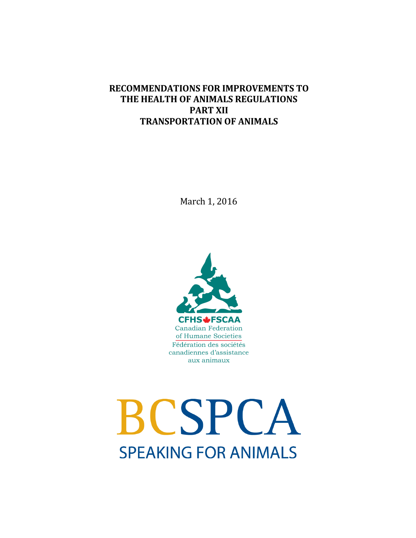## **RECOMMENDATIONS FOR IMPROVEMENTS TO THE HEALTH OF ANIMALS REGULATIONS PART XII TRANSPORTATION OF ANIMALS**

March 1, 2016



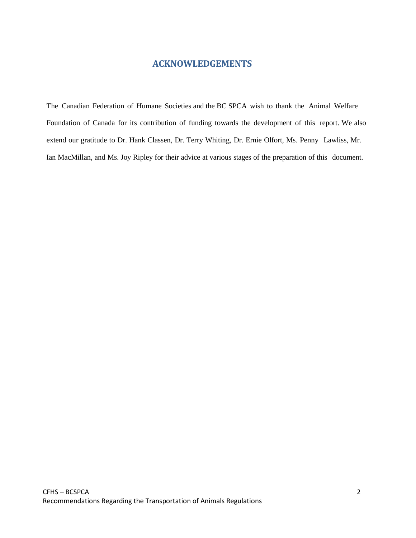## **ACKNOWLEDGEMENTS**

The Canadian Federation of Humane Societies and the BC SPCA wish to thank the Animal Welfare Foundation of Canada for its contribution of funding towards the development of this report. We also extend our gratitude to Dr. Hank Classen, Dr. Terry Whiting, Dr. Ernie Olfort, Ms. Penny Lawliss, Mr. Ian MacMillan, and Ms. Joy Ripley for their advice at various stages of the preparation of this document.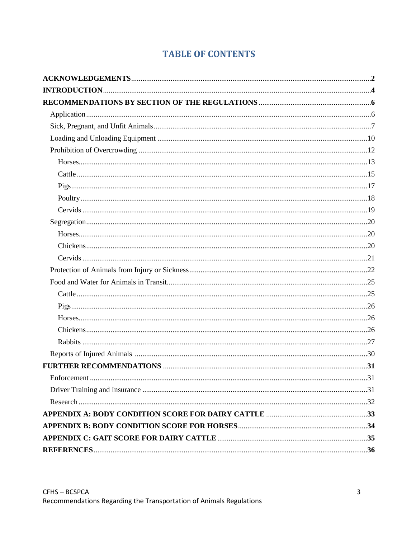# **TABLE OF CONTENTS**

| Enforcement | 31 |
|-------------|----|
|             |    |
|             |    |
|             |    |
|             |    |
|             |    |
|             |    |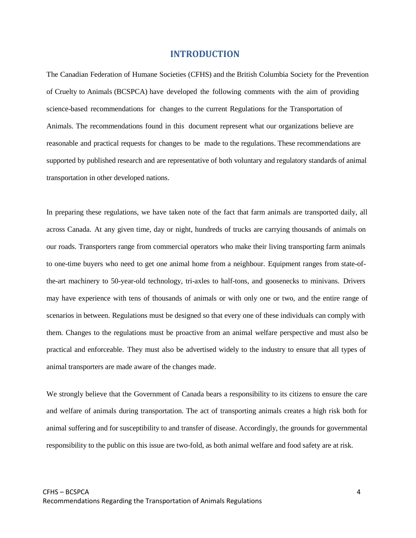## **INTRODUCTION**

The Canadian Federation of Humane Societies (CFHS) and the British Columbia Society for the Prevention of Cruelty to Animals (BCSPCA) have developed the following comments with the aim of providing science-based recommendations for changes to the current Regulations for the Transportation of Animals. The recommendations found in this document represent what our organizations believe are reasonable and practical requests for changes to be made to the regulations. These recommendations are supported by published research and are representative of both voluntary and regulatory standards of animal transportation in other developed nations.

In preparing these regulations, we have taken note of the fact that farm animals are transported daily, all across Canada. At any given time, day or night, hundreds of trucks are carrying thousands of animals on our roads. Transporters range from commercial operators who make their living transporting farm animals to one-time buyers who need to get one animal home from a neighbour. Equipment ranges from state-ofthe-art machinery to 50-year-old technology, tri-axles to half-tons, and goosenecks to minivans. Drivers may have experience with tens of thousands of animals or with only one or two, and the entire range of scenarios in between. Regulations must be designed so that every one of these individuals can comply with them. Changes to the regulations must be proactive from an animal welfare perspective and must also be practical and enforceable. They must also be advertised widely to the industry to ensure that all types of animal transporters are made aware of the changes made.

We strongly believe that the Government of Canada bears a responsibility to its citizens to ensure the care and welfare of animals during transportation. The act of transporting animals creates a high risk both for animal suffering and for susceptibility to and transfer of disease. Accordingly, the grounds for governmental responsibility to the public on this issue are two-fold, as both animal welfare and food safety are at risk.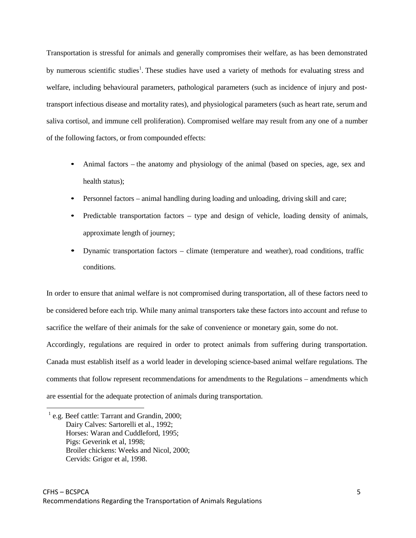Transportation is stressful for animals and generally compromises their welfare, as has been demonstrated by numerous scientific studies<sup>1</sup>. These studies have used a variety of methods for evaluating stress and welfare, including behavioural parameters, pathological parameters (such as incidence of injury and posttransport infectious disease and mortality rates), and physiological parameters (such as heart rate, serum and saliva cortisol, and immune cell proliferation). Compromised welfare may result from any one of a number of the following factors, or from compounded effects:

- Animal factors the anatomy and physiology of the animal (based on species, age, sex and health status);
- Personnel factors animal handling during loading and unloading, driving skill and care;
- Predictable transportation factors type and design of vehicle, loading density of animals, approximate length of journey;
- Dynamic transportation factors climate (temperature and weather), road conditions, traffic conditions.

In order to ensure that animal welfare is not compromised during transportation, all of these factors need to be considered before each trip. While many animal transporters take these factors into account and refuse to sacrifice the welfare of their animals for the sake of convenience or monetary gain, some do not. Accordingly, regulations are required in order to protect animals from suffering during transportation. Canada must establish itself as a world leader in developing science-based animal welfare regulations. The comments that follow represent recommendations for amendments to the Regulations – amendments which are essential for the adequate protection of animals during transportation.

 $^{1}$  e.g. Beef cattle: Tarrant and Grandin, 2000; Dairy Calves: Sartorelli et al., 1992; Horses: Waran and Cuddleford, 1995; Pigs: Geverink et al, 1998; Broiler chickens: Weeks and Nicol, 2000; Cervids: Grigor et al, 1998.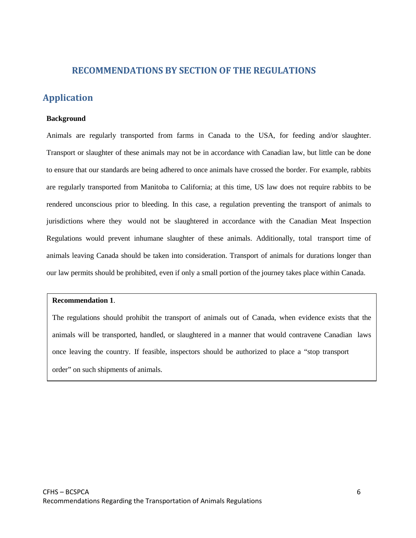## **RECOMMENDATIONS BY SECTION OF THE REGULATIONS**

## **Application**

#### **Background**

Animals are regularly transported from farms in Canada to the USA, for feeding and/or slaughter. Transport or slaughter of these animals may not be in accordance with Canadian law, but little can be done to ensure that our standards are being adhered to once animals have crossed the border. For example, rabbits are regularly transported from Manitoba to California; at this time, US law does not require rabbits to be rendered unconscious prior to bleeding. In this case, a regulation preventing the transport of animals to jurisdictions where they would not be slaughtered in accordance with the Canadian Meat Inspection Regulations would prevent inhumane slaughter of these animals. Additionally, total transport time of animals leaving Canada should be taken into consideration. Transport of animals for durations longer than our law permits should be prohibited, even if only a small portion of the journey takes place within Canada.

## **Recommendation 1**.

The regulations should prohibit the transport of animals out of Canada, when evidence exists that the animals will be transported, handled, or slaughtered in a manner that would contravene Canadian laws once leaving the country. If feasible, inspectors should be authorized to place a "stop transport order" on such shipments of animals.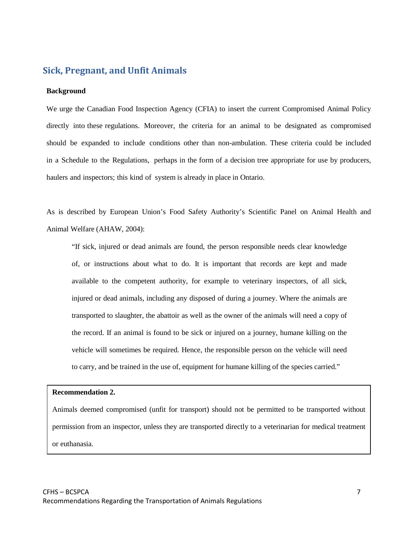## **Sick, Pregnant, and Unfit Animals**

#### **Background**

We urge the Canadian Food Inspection Agency (CFIA) to insert the current Compromised Animal Policy directly into these regulations. Moreover, the criteria for an animal to be designated as compromised should be expanded to include conditions other than non-ambulation. These criteria could be included in a Schedule to the Regulations, perhaps in the form of a decision tree appropriate for use by producers, haulers and inspectors; this kind of system is already in place in Ontario.

As is described by European Union's Food Safety Authority's Scientific Panel on Animal Health and Animal Welfare (AHAW, 2004):

"If sick, injured or dead animals are found, the person responsible needs clear knowledge of, or instructions about what to do. It is important that records are kept and made available to the competent authority, for example to veterinary inspectors, of all sick, injured or dead animals, including any disposed of during a journey. Where the animals are transported to slaughter, the abattoir as well as the owner of the animals will need a copy of the record. If an animal is found to be sick or injured on a journey, humane killing on the vehicle will sometimes be required. Hence, the responsible person on the vehicle will need to carry, and be trained in the use of, equipment for humane killing of the species carried."

### **Recommendation 2.**

Animals deemed compromised (unfit for transport) should not be permitted to be transported without permission from an inspector, unless they are transported directly to a veterinarian for medical treatment or euthanasia.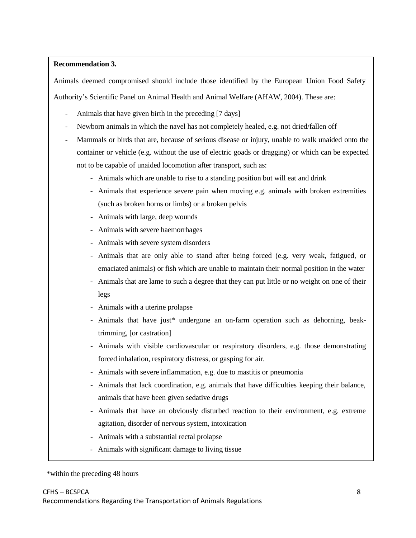## **Recommendation 3.**

Animals deemed compromised should include those identified by the European Union Food Safety

Authority's Scientific Panel on Animal Health and Animal Welfare (AHAW, 2004). These are:

- Animals that have given birth in the preceding [7 days]
- Newborn animals in which the navel has not completely healed, e.g. not dried/fallen off
- Mammals or birds that are, because of serious disease or injury, unable to walk unaided onto the container or vehicle (e.g. without the use of electric goads or dragging) or which can be expected not to be capable of unaided locomotion after transport, such as:
	- Animals which are unable to rise to a standing position but will eat and drink
	- Animals that experience severe pain when moving e.g. animals with broken extremities (such as broken horns or limbs) or a broken pelvis
	- Animals with large, deep wounds
	- Animals with severe haemorrhages
	- Animals with severe system disorders
	- Animals that are only able to stand after being forced (e.g. very weak, fatigued, or emaciated animals) or fish which are unable to maintain their normal position in the water
	- Animals that are lame to such a degree that they can put little or no weight on one of their legs
	- Animals with a uterine prolapse
	- Animals that have just\* undergone an on-farm operation such as dehorning, beaktrimming, [or castration]
	- Animals with visible cardiovascular or respiratory disorders, e.g. those demonstrating forced inhalation, respiratory distress, or gasping for air.
	- Animals with severe inflammation, e.g. due to mastitis or pneumonia
	- Animals that lack coordination, e.g. animals that have difficulties keeping their balance, animals that have been given sedative drugs
	- Animals that have an obviously disturbed reaction to their environment, e.g. extreme agitation, disorder of nervous system, intoxication
	- Animals with a substantial rectal prolapse
	- Animals with significant damage to living tissue

## \*within the preceding 48 hours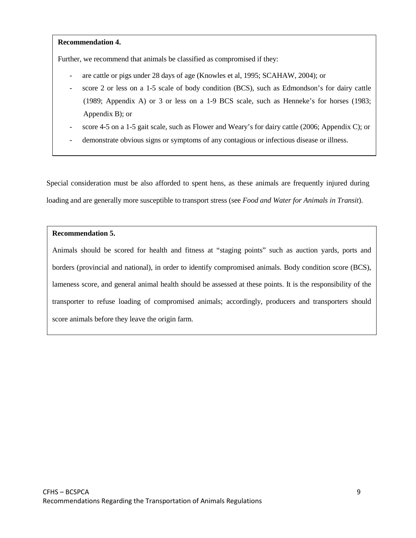### **Recommendation 4.**

Further, we recommend that animals be classified as compromised if they:

- are cattle or pigs under 28 days of age (Knowles et al, 1995; SCAHAW, 2004); or
- score 2 or less on a 1-5 scale of body condition (BCS), such as Edmondson's for dairy cattle (1989; Appendix A) or 3 or less on a 1-9 BCS scale, such as Henneke's for horses (1983; Appendix B); or
- score 4-5 on a 1-5 gait scale, such as Flower and Weary's for dairy cattle (2006; Appendix C); or
- demonstrate obvious signs or symptoms of any contagious or infectious disease or illness.

Special consideration must be also afforded to spent hens, as these animals are frequently injured during loading and are generally more susceptible to transport stress (see *Food and Water for Animals in Transit*).

## **Recommendation 5.**

Animals should be scored for health and fitness at "staging points" such as auction yards, ports and borders (provincial and national), in order to identify compromised animals. Body condition score (BCS), lameness score, and general animal health should be assessed at these points. It is the responsibility of the transporter to refuse loading of compromised animals; accordingly, producers and transporters should score animals before they leave the origin farm.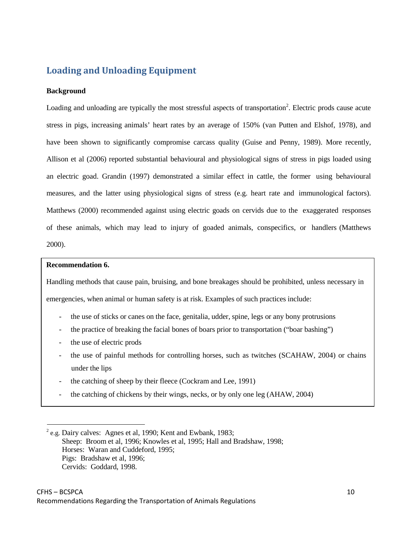## **Loading and Unloading Equipment**

#### **Background**

Loading and unloading are typically the most stressful aspects of transportation<sup>2</sup>. Electric prods cause acute stress in pigs, increasing animals' heart rates by an average of 150% (van Putten and Elshof, 1978), and have been shown to significantly compromise carcass quality (Guise and Penny, 1989). More recently, Allison et al (2006) reported substantial behavioural and physiological signs of stress in pigs loaded using an electric goad. Grandin (1997) demonstrated a similar effect in cattle, the former using behavioural measures, and the latter using physiological signs of stress (e.g. heart rate and immunological factors). Matthews (2000) recommended against using electric goads on cervids due to the exaggerated responses of these animals, which may lead to injury of goaded animals, conspecifics, or handlers (Matthews 2000).

#### **Recommendation 6.**

Handling methods that cause pain, bruising, and bone breakages should be prohibited, unless necessary in emergencies, when animal or human safety is at risk. Examples of such practices include:

- the use of sticks or canes on the face, genitalia, udder, spine, legs or any bony protrusions
- the practice of breaking the facial bones of boars prior to transportation ("boar bashing")
- the use of electric prods
- the use of painful methods for controlling horses, such as twitches (SCAHAW, 2004) or chains under the lips
- the catching of sheep by their fleece (Cockram and Lee, 1991)
- the catching of chickens by their wings, necks, or by only one leg (AHAW, 2004)

 $^{2}$  e.g. Dairy calves: Agnes et al, 1990; Kent and Ewbank, 1983; Sheep: Broom et al, 1996; Knowles et al, 1995; Hall and Bradshaw, 1998; Horses: Waran and Cuddeford, 1995; Pigs: Bradshaw et al, 1996; Cervids: Goddard, 1998.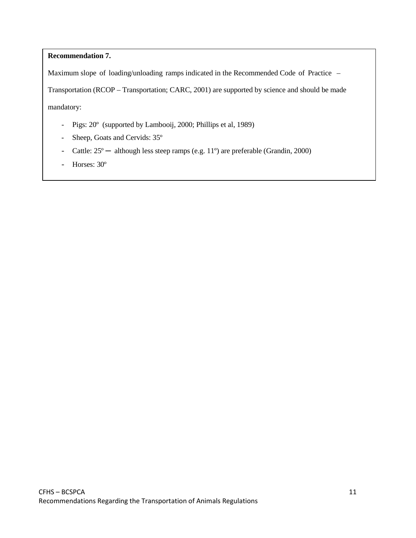## **Recommendation 7.**

Maximum slope of loading/unloading ramps indicated in the Recommended Code of Practice –

Transportation (RCOP – Transportation; CARC, 2001) are supported by science and should be made

mandatory:

- Pigs: 20º (supported by Lambooij, 2000; Phillips et al, 1989)
- Sheep, Goats and Cervids: 35º
- Cattle:  $25^{\circ}$  although less steep ramps (e.g. 11°) are preferable (Grandin, 2000)
- Horses: 30º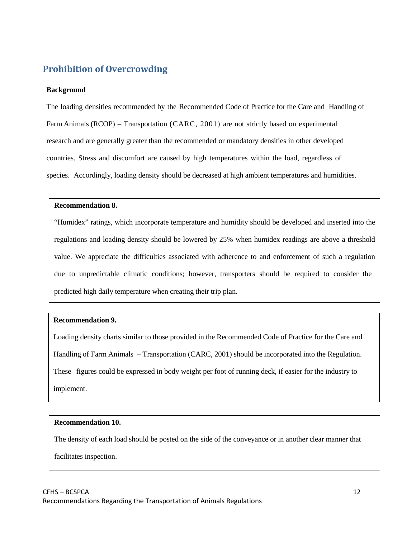## **Prohibition of Overcrowding**

## **Background**

The loading densities recommended by the Recommended Code of Practice for the Care and Handling of Farm Animals (RCOP) – Transportation (CARC, 2001) are not strictly based on experimental research and are generally greater than the recommended or mandatory densities in other developed countries. Stress and discomfort are caused by high temperatures within the load, regardless of species. Accordingly, loading density should be decreased at high ambient temperatures and humidities.

## **Recommendation 8.**

"Humidex" ratings, which incorporate temperature and humidity should be developed and inserted into the regulations and loading density should be lowered by 25% when humidex readings are above a threshold value. We appreciate the difficulties associated with adherence to and enforcement of such a regulation due to unpredictable climatic conditions; however, transporters should be required to consider the predicted high daily temperature when creating their trip plan.

## **Recommendation 9.**

Loading density charts similar to those provided in the Recommended Code of Practice for the Care and Handling of Farm Animals – Transportation (CARC, 2001) should be incorporated into the Regulation. These figures could be expressed in body weight per foot of running deck, if easier for the industry to implement.

## **Recommendation 10.**

The density of each load should be posted on the side of the conveyance or in another clear manner that

facilitates inspection.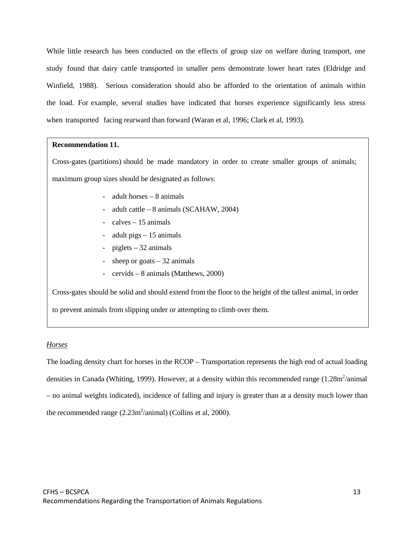While little research has been conducted on the effects of group size on welfare during transport, one study found that dairy cattle transported in smaller pens demonstrate lower heart rates (Eldridge and Winfield, 1988). Serious consideration should also be afforded to the orientation of animals within the load. For example, several studies have indicated that horses experience significantly less stress when transported facing rearward than forward (Waran et al, 1996; Clark et al, 1993).

#### **Recommendation 11.**

Cross-gates (partitions) should be made mandatory in order to create smaller groups of animals; maximum group sizes should be designated as follows:

- adult horses 8 animals
- adult cattle  $8$  animals (SCAHAW, 2004)
- $calves 15$  animals
- adult pigs  $-15$  animals
- $pi$ glets 32 animals
- sheep or goats 32 animals
- cervids 8 animals (Matthews, 2000)

Cross-gates should be solid and should extend from the floor to the height of the tallest animal, in order to prevent animals from slipping under or attempting to climb over them.

#### *Horses*

The loading density chart for horses in the RCOP – Transportation represents the high end of actual loading densities in Canada (Whiting, 1999). However, at a density within this recommended range  $(1.28m^2/a$ nimal – no animal weights indicated), incidence of falling and injury is greater than at a density much lower than the recommended range  $(2.23 \text{m}^2/\text{animal})$  (Collins et al, 2000).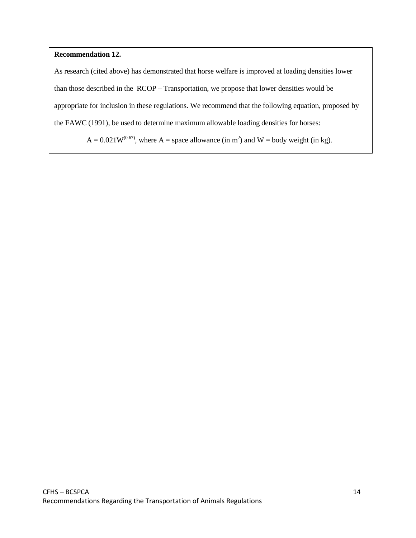### **Recommendation 12.**

As research (cited above) has demonstrated that horse welfare is improved at loading densities lower than those described in the RCOP – Transportation, we propose that lower densities would be appropriate for inclusion in these regulations. We recommend that the following equation, proposed by the FAWC (1991), be used to determine maximum allowable loading densities for horses:

 $A = 0.021W^{(0.67)}$ , where  $A =$  space allowance (in m<sup>2</sup>) and  $W =$  body weight (in kg).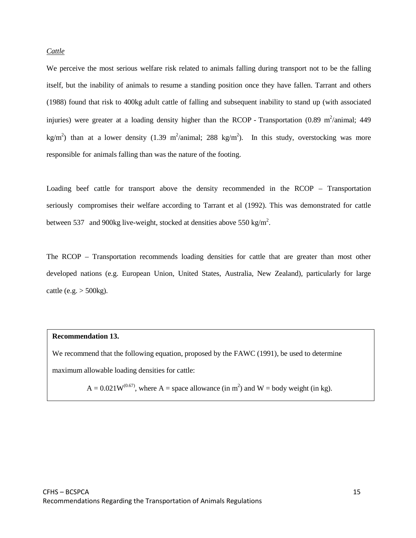### *Cattle*

We perceive the most serious welfare risk related to animals falling during transport not to be the falling itself, but the inability of animals to resume a standing position once they have fallen. Tarrant and others (1988) found that risk to 400kg adult cattle of falling and subsequent inability to stand up (with associated injuries) were greater at a loading density higher than the RCOP - Transportation (0.89 m<sup>2</sup>/animal; 449 kg/m<sup>2</sup>) than at a lower density (1.39 m<sup>2</sup>/animal; 288 kg/m<sup>2</sup>). In this study, overstocking was more responsible for animals falling than was the nature of the footing.

Loading beef cattle for transport above the density recommended in the RCOP – Transportation seriously compromises their welfare according to Tarrant et al (1992). This was demonstrated for cattle between 537 and 900kg live-weight, stocked at densities above 550 kg/m<sup>2</sup>.

The RCOP – Transportation recommends loading densities for cattle that are greater than most other developed nations (e.g. European Union, United States, Australia, New Zealand), particularly for large cattle (e.g.  $>$  500kg).

## **Recommendation 13.**

We recommend that the following equation, proposed by the FAWC (1991), be used to determine maximum allowable loading densities for cattle:

 $A = 0.021W^{(0.67)}$ , where  $A =$  space allowance (in m<sup>2</sup>) and  $W =$  body weight (in kg).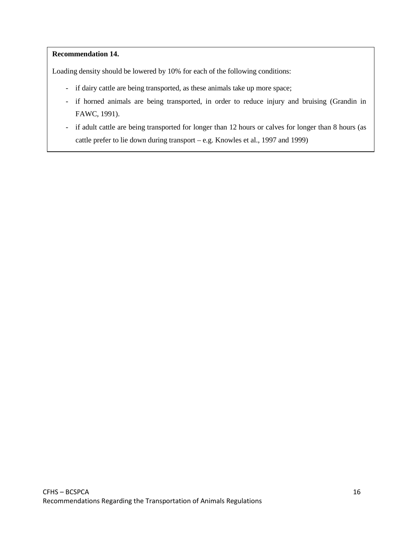## **Recommendation 14.**

Loading density should be lowered by 10% for each of the following conditions:

- if dairy cattle are being transported, as these animals take up more space;
- if horned animals are being transported, in order to reduce injury and bruising (Grandin in FAWC, 1991).
- if adult cattle are being transported for longer than 12 hours or calves for longer than 8 hours (as cattle prefer to lie down during transport – e.g. Knowles et al., 1997 and 1999)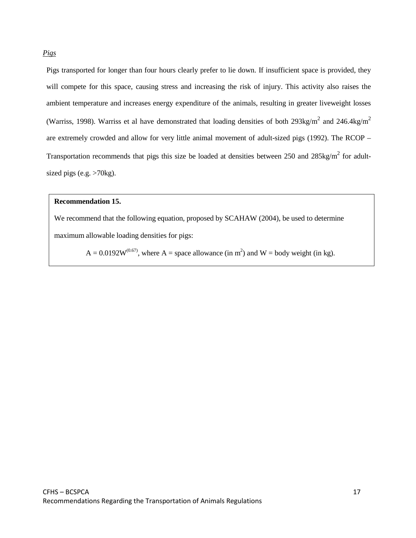Pigs transported for longer than four hours clearly prefer to lie down. If insufficient space is provided, they will compete for this space, causing stress and increasing the risk of injury. This activity also raises the ambient temperature and increases energy expenditure of the animals, resulting in greater liveweight losses (Warriss, 1998). Warriss et al have demonstrated that loading densities of both 293kg/m<sup>2</sup> and 246.4kg/m<sup>2</sup> are extremely crowded and allow for very little animal movement of adult-sized pigs (1992). The RCOP – Transportation recommends that pigs this size be loaded at densities between 250 and  $285\text{kg/m}^2$  for adultsized pigs (e.g.  $>70$ kg).

### **Recommendation 15.**

We recommend that the following equation, proposed by SCAHAW (2004), be used to determine maximum allowable loading densities for pigs:

 $A = 0.0192W^{(0.67)}$ , where A = space allowance (in m<sup>2</sup>) and W = body weight (in kg).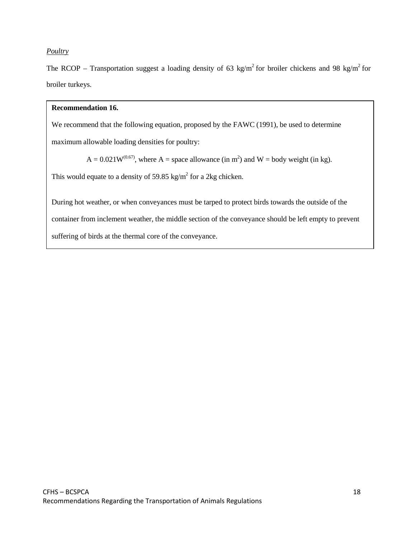## *Poultry*

The RCOP – Transportation suggest a loading density of 63 kg/m<sup>2</sup> for broiler chickens and 98 kg/m<sup>2</sup> for broiler turkeys.

### **Recommendation 16.**

We recommend that the following equation, proposed by the FAWC (1991), be used to determine

maximum allowable loading densities for poultry:

 $A = 0.021W^{(0.67)}$ , where  $A =$  space allowance (in m<sup>2</sup>) and  $W =$  body weight (in kg).

This would equate to a density of 59.85 kg/m<sup>2</sup> for a 2kg chicken.

During hot weather, or when conveyances must be tarped to protect birds towards the outside of the container from inclement weather, the middle section of the conveyance should be left empty to prevent suffering of birds at the thermal core of the conveyance.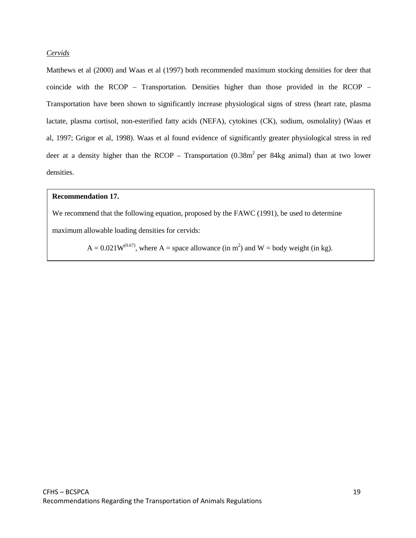## *Cervids*

Matthews et al (2000) and Waas et al (1997) both recommended maximum stocking densities for deer that coincide with the RCOP – Transportation. Densities higher than those provided in the RCOP – Transportation have been shown to significantly increase physiological signs of stress (heart rate, plasma lactate, plasma cortisol, non-esterified fatty acids (NEFA), cytokines (CK), sodium, osmolality) (Waas et al, 1997; Grigor et al, 1998). Waas et al found evidence of significantly greater physiological stress in red deer at a density higher than the RCOP – Transportation  $(0.38m<sup>2</sup>$  per 84kg animal) than at two lower densities.

### **Recommendation 17.**

We recommend that the following equation, proposed by the FAWC (1991), be used to determine

maximum allowable loading densities for cervids:

 $A = 0.021W^{(0.67)}$ , where  $A =$  space allowance (in m<sup>2</sup>) and  $W =$  body weight (in kg).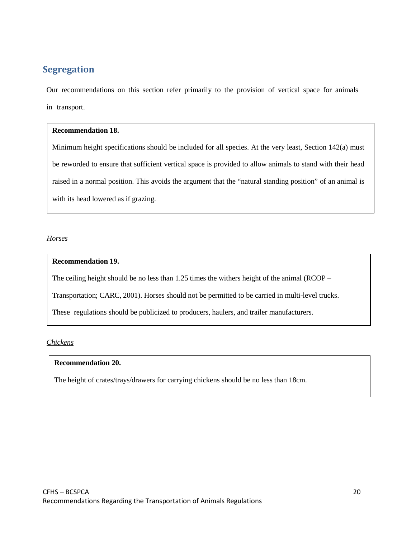## **Segregation**

Our recommendations on this section refer primarily to the provision of vertical space for animals in transport.

## **Recommendation 18.**

Minimum height specifications should be included for all species. At the very least, Section 142(a) must be reworded to ensure that sufficient vertical space is provided to allow animals to stand with their head raised in a normal position. This avoids the argument that the "natural standing position" of an animal is with its head lowered as if grazing.

*Horses*

## **Recommendation 19.**

The ceiling height should be no less than 1.25 times the withers height of the animal (RCOP –

Transportation; CARC, 2001). Horses should not be permitted to be carried in multi-level trucks.

These regulations should be publicized to producers, haulers, and trailer manufacturers.

## *Chickens*

## **Recommendation 20.**

The height of crates/trays/drawers for carrying chickens should be no less than 18cm.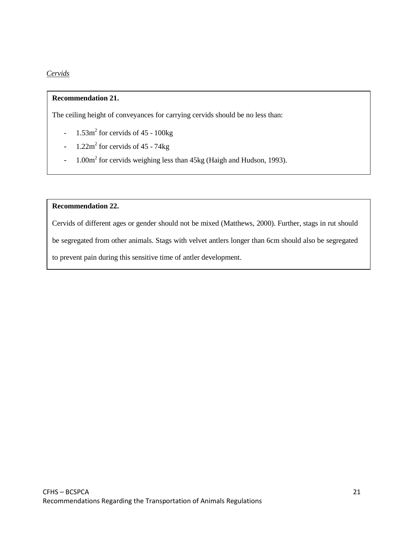## *Cervids*

## **Recommendation 21.**

The ceiling height of conveyances for carrying cervids should be no less than:

- $-1.53m^2$  for cervids of 45 100kg
- $1.22m^2$  for cervids of 45 74kg
- 1.00m<sup>2</sup> for cervids weighing less than 45kg (Haigh and Hudson, 1993).

## **Recommendation 22.**

Cervids of different ages or gender should not be mixed (Matthews, 2000). Further, stags in rut should be segregated from other animals. Stags with velvet antlers longer than 6cm should also be segregated to prevent pain during this sensitive time of antler development.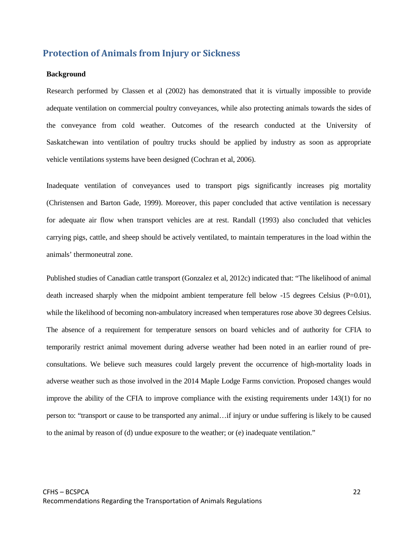## **Protection of Animals from Injury or Sickness**

#### **Background**

Research performed by Classen et al (2002) has demonstrated that it is virtually impossible to provide adequate ventilation on commercial poultry conveyances, while also protecting animals towards the sides of the conveyance from cold weather. Outcomes of the research conducted at the University of Saskatchewan into ventilation of poultry trucks should be applied by industry as soon as appropriate vehicle ventilations systems have been designed (Cochran et al, 2006).

Inadequate ventilation of conveyances used to transport pigs significantly increases pig mortality (Christensen and Barton Gade, 1999). Moreover, this paper concluded that active ventilation is necessary for adequate air flow when transport vehicles are at rest. Randall (1993) also concluded that vehicles carrying pigs, cattle, and sheep should be actively ventilated, to maintain temperatures in the load within the animals' thermoneutral zone.

Published studies of Canadian cattle transport (Gonzalez et al, 2012c) indicated that: "The likelihood of animal death increased sharply when the midpoint ambient temperature fell below  $-15$  degrees Celsius (P=0.01), while the likelihood of becoming non-ambulatory increased when temperatures rose above 30 degrees Celsius. The absence of a requirement for temperature sensors on board vehicles and of authority for CFIA to temporarily restrict animal movement during adverse weather had been noted in an earlier round of preconsultations. We believe such measures could largely prevent the occurrence of high-mortality loads in adverse weather such as those involved in the 2014 Maple Lodge Farms conviction. Proposed changes would improve the ability of the CFIA to improve compliance with the existing requirements under 143(1) for no person to: "transport or cause to be transported any animal…if injury or undue suffering is likely to be caused to the animal by reason of (d) undue exposure to the weather; or (e) inadequate ventilation."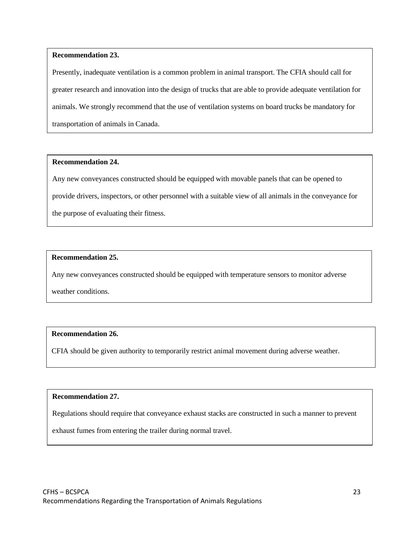## **Recommendation 23.**

Presently, inadequate ventilation is a common problem in animal transport. The CFIA should call for greater research and innovation into the design of trucks that are able to provide adequate ventilation for animals. We strongly recommend that the use of ventilation systems on board trucks be mandatory for transportation of animals in Canada.

## **Recommendation 24.**

Any new conveyances constructed should be equipped with movable panels that can be opened to provide drivers, inspectors, or other personnel with a suitable view of all animals in the conveyance for the purpose of evaluating their fitness.

## **Recommendation 25.**

Any new conveyances constructed should be equipped with temperature sensors to monitor adverse

weather conditions.

## **Recommendation 26.**

CFIA should be given authority to temporarily restrict animal movement during adverse weather.

## **Recommendation 27.**

Regulations should require that conveyance exhaust stacks are constructed in such a manner to prevent

exhaust fumes from entering the trailer during normal travel.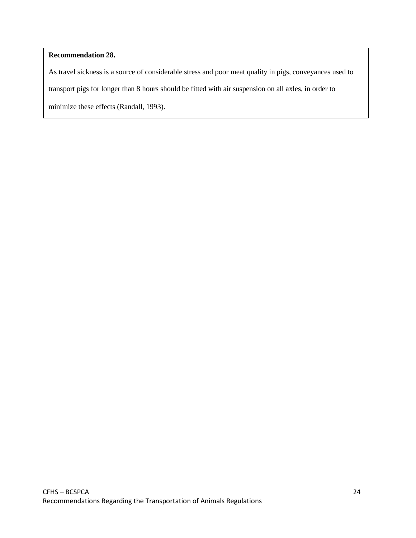## **Recommendation 28.**

As travel sickness is a source of considerable stress and poor meat quality in pigs, conveyances used to transport pigs for longer than 8 hours should be fitted with air suspension on all axles, in order to minimize these effects (Randall, 1993).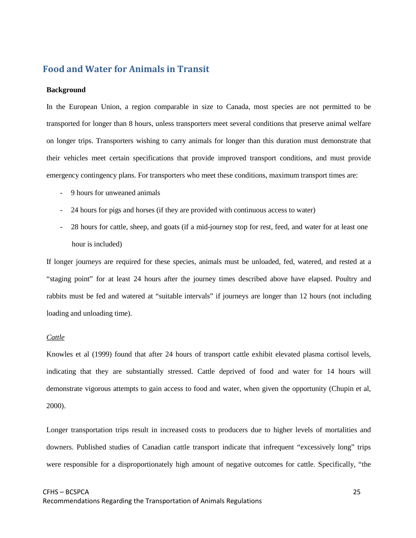## **Food and Water for Animals in Transit**

#### **Background**

In the European Union, a region comparable in size to Canada, most species are not permitted to be transported for longer than 8 hours, unless transporters meet several conditions that preserve animal welfare on longer trips. Transporters wishing to carry animals for longer than this duration must demonstrate that their vehicles meet certain specifications that provide improved transport conditions, and must provide emergency contingency plans. For transporters who meet these conditions, maximum transport times are:

- 9 hours for unweaned animals
- 24 hours for pigs and horses (if they are provided with continuous access to water)
- 28 hours for cattle, sheep, and goats (if a mid-journey stop for rest, feed, and water for at least one hour is included)

If longer journeys are required for these species, animals must be unloaded, fed, watered, and rested at a "staging point" for at least 24 hours after the journey times described above have elapsed. Poultry and rabbits must be fed and watered at "suitable intervals" if journeys are longer than 12 hours (not including loading and unloading time).

#### *Cattle*

Knowles et al (1999) found that after 24 hours of transport cattle exhibit elevated plasma cortisol levels, indicating that they are substantially stressed. Cattle deprived of food and water for 14 hours will demonstrate vigorous attempts to gain access to food and water, when given the opportunity (Chupin et al, 2000).

Longer transportation trips result in increased costs to producers due to higher levels of mortalities and downers. Published studies of Canadian cattle transport indicate that infrequent "excessively long" trips were responsible for a disproportionately high amount of negative outcomes for cattle. Specifically, "the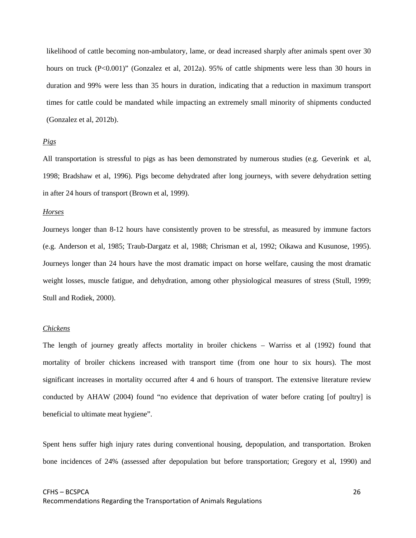likelihood of cattle becoming non-ambulatory, lame, or dead increased sharply after animals spent over 30 hours on truck (P<0.001)" (Gonzalez et al, 2012a). 95% of cattle shipments were less than 30 hours in duration and 99% were less than 35 hours in duration, indicating that a reduction in maximum transport times for cattle could be mandated while impacting an extremely small minority of shipments conducted (Gonzalez et al, 2012b).

#### *Pigs*

All transportation is stressful to pigs as has been demonstrated by numerous studies (e.g. Geverink et al, 1998; Bradshaw et al, 1996). Pigs become dehydrated after long journeys, with severe dehydration setting in after 24 hours of transport (Brown et al, 1999).

#### *Horses*

Journeys longer than 8-12 hours have consistently proven to be stressful, as measured by immune factors (e.g. Anderson et al, 1985; Traub-Dargatz et al, 1988; Chrisman et al, 1992; Oikawa and Kusunose, 1995). Journeys longer than 24 hours have the most dramatic impact on horse welfare, causing the most dramatic weight losses, muscle fatigue, and dehydration, among other physiological measures of stress (Stull, 1999; Stull and Rodiek, 2000).

#### *Chickens*

The length of journey greatly affects mortality in broiler chickens – Warriss et al (1992) found that mortality of broiler chickens increased with transport time (from one hour to six hours). The most significant increases in mortality occurred after 4 and 6 hours of transport. The extensive literature review conducted by AHAW (2004) found "no evidence that deprivation of water before crating [of poultry] is beneficial to ultimate meat hygiene".

Spent hens suffer high injury rates during conventional housing, depopulation, and transportation. Broken bone incidences of 24% (assessed after depopulation but before transportation; Gregory et al, 1990) and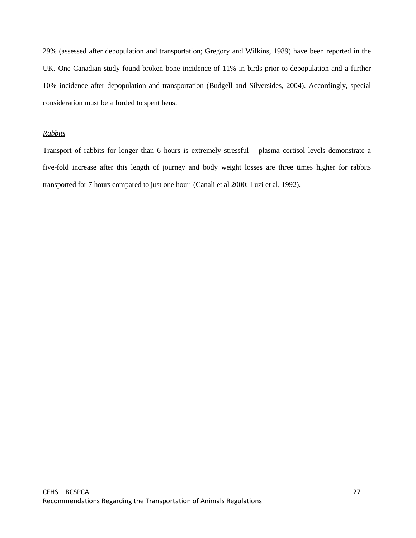29% (assessed after depopulation and transportation; Gregory and Wilkins, 1989) have been reported in the UK. One Canadian study found broken bone incidence of 11% in birds prior to depopulation and a further 10% incidence after depopulation and transportation (Budgell and Silversides, 2004). Accordingly, special consideration must be afforded to spent hens.

#### *Rabbits*

Transport of rabbits for longer than 6 hours is extremely stressful – plasma cortisol levels demonstrate a five-fold increase after this length of journey and body weight losses are three times higher for rabbits transported for 7 hours compared to just one hour (Canali et al 2000; Luzi et al, 1992).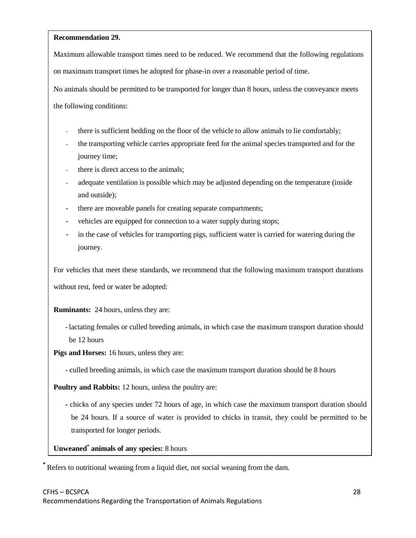## **Recommendation 29.**

Maximum allowable transport times need to be reduced. We recommend that the following regulations on maximum transport times be adopted for phase-in over a reasonable period of time.

No animals should be permitted to be transported for longer than 8 hours, unless the conveyance meets the following conditions:

- there is sufficient bedding on the floor of the vehicle to allow animals to lie comfortably;
- the transporting vehicle carries appropriate feed for the animal species transported and for the journey time;
- there is direct access to the animals;
- adequate ventilation is possible which may be adjusted depending on the temperature (inside and outside);
- there are moveable panels for creating separate compartments;
- vehicles are equipped for connection to a water supply during stops;
- in the case of vehicles for transporting pigs, sufficient water is carried for watering during the journey.

For vehicles that meet these standards, we recommend that the following maximum transport durations

without rest, feed or water be adopted:

**Ruminants:** 24 hours, unless they are:

- lactating females or culled breeding animals, in which case the maximum transport duration should be 12 hours

**Pigs and Horses:** 16 hours, unless they are:

- culled breeding animals, in which case the maximum transport duration should be 8 hours

**Poultry and Rabbits:** 12 hours, unless the poultry are:

**-** chicks of any species under 72 hours of age, in which case the maximum transport duration should be 24 hours. If a source of water is provided to chicks in transit, they could be permitted to be transported for longer periods.

**Unweaned\* animals of any species:** 8 hours

**\*** Refers to nutritional weaning from a liquid diet, not social weaning from the dam.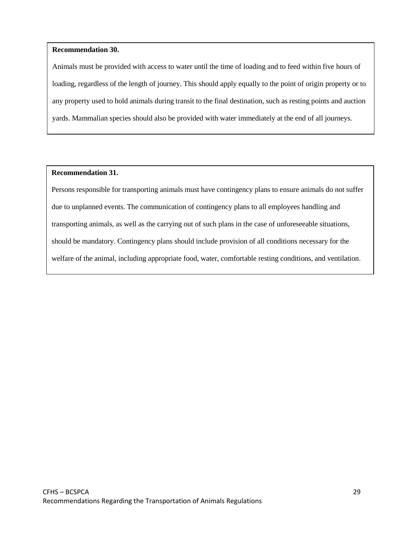## **Recommendation 30.**

Animals must be provided with access to water until the time of loading and to feed within five hours of loading, regardless of the length of journey. This should apply equally to the point of origin property or to any property used to hold animals during transit to the final destination, such as resting points and auction yards. Mammalian species should also be provided with water immediately at the end of all journeys.

#### **Recommendation 31.**

Persons responsible for transporting animals must have contingency plans to ensure animals do not suffer due to unplanned events. The communication of contingency plans to all employees handling and transporting animals, as well as the carrying out of such plans in the case of unforeseeable situations, should be mandatory. Contingency plans should include provision of all conditions necessary for the welfare of the animal, including appropriate food, water, comfortable resting conditions, and ventilation.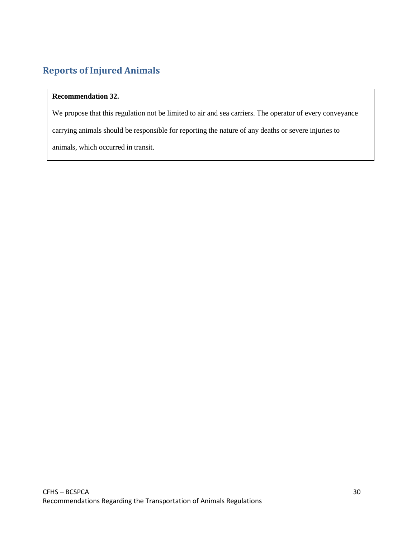# **Reports of Injured Animals**

## **Recommendation 32.**

We propose that this regulation not be limited to air and sea carriers. The operator of every conveyance carrying animals should be responsible for reporting the nature of any deaths or severe injuries to animals, which occurred in transit.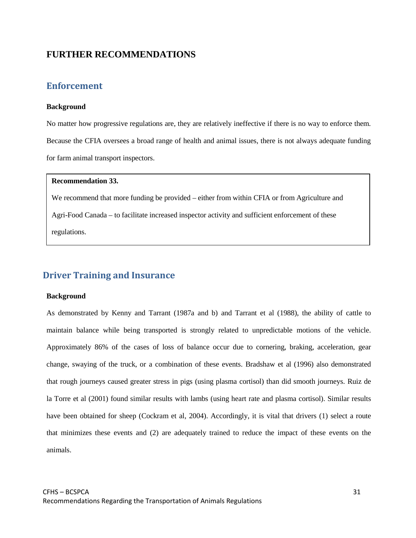## **FURTHER RECOMMENDATIONS**

## **Enforcement**

### **Background**

No matter how progressive regulations are, they are relatively ineffective if there is no way to enforce them. Because the CFIA oversees a broad range of health and animal issues, there is not always adequate funding for farm animal transport inspectors.

## **Recommendation 33.**

We recommend that more funding be provided – either from within CFIA or from Agriculture and Agri-Food Canada – to facilitate increased inspector activity and sufficient enforcement of these regulations.

## **Driver Training and Insurance**

#### **Background**

As demonstrated by Kenny and Tarrant (1987a and b) and Tarrant et al (1988), the ability of cattle to maintain balance while being transported is strongly related to unpredictable motions of the vehicle. Approximately 86% of the cases of loss of balance occur due to cornering, braking, acceleration, gear change, swaying of the truck, or a combination of these events. Bradshaw et al (1996) also demonstrated that rough journeys caused greater stress in pigs (using plasma cortisol) than did smooth journeys. Ruiz de la Torre et al (2001) found similar results with lambs (using heart rate and plasma cortisol). Similar results have been obtained for sheep (Cockram et al, 2004). Accordingly, it is vital that drivers (1) select a route that minimizes these events and (2) are adequately trained to reduce the impact of these events on the animals.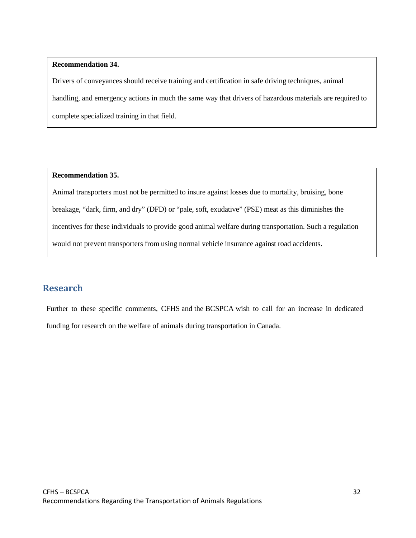## **Recommendation 34.**

Drivers of conveyances should receive training and certification in safe driving techniques, animal handling, and emergency actions in much the same way that drivers of hazardous materials are required to complete specialized training in that field.

## **Recommendation 35.**

Animal transporters must not be permitted to insure against losses due to mortality, bruising, bone breakage, "dark, firm, and dry" (DFD) or "pale, soft, exudative" (PSE) meat as this diminishes the incentives for these individuals to provide good animal welfare during transportation. Such a regulation would not prevent transporters from using normal vehicle insurance against road accidents.

## **Research**

Further to these specific comments, CFHS and the BCSPCA wish to call for an increase in dedicated funding for research on the welfare of animals during transportation in Canada.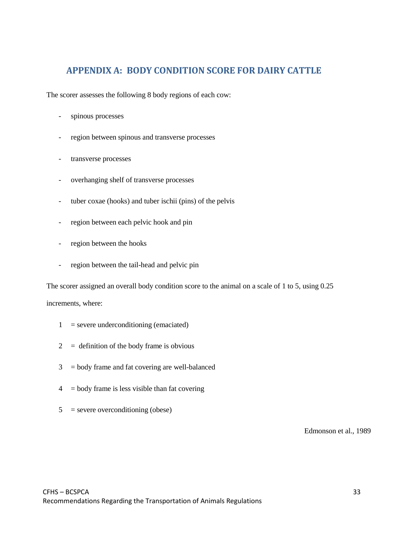## **APPENDIX A: BODY CONDITION SCORE FOR DAIRY CATTLE**

The scorer assesses the following 8 body regions of each cow:

- spinous processes
- region between spinous and transverse processes
- transverse processes
- overhanging shelf of transverse processes
- tuber coxae (hooks) and tuber ischii (pins) of the pelvis
- region between each pelvic hook and pin
- region between the hooks
- region between the tail-head and pelvic pin

The scorer assigned an overall body condition score to the animal on a scale of 1 to 5, using 0.25

increments, where:

- $1 =$  severe underconditioning (emaciated)
- $2 =$  definition of the body frame is obvious
- $3 =$  body frame and fat covering are well-balanced
- $4 =$  body frame is less visible than fat covering
- $5$  = severe overconditioning (obese)

Edmonson et al., 1989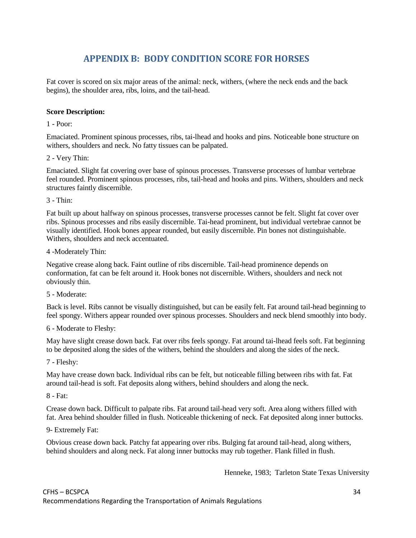# **APPENDIX B: BODY CONDITION SCORE FOR HORSES**

Fat cover is scored on six major areas of the animal: neck, withers, (where the neck ends and the back begins), the shoulder area, ribs, loins, and the tail-head.

## **Score Description:**

1 - Poor:

Emaciated. Prominent spinous processes, ribs, tai-lhead and hooks and pins. Noticeable bone structure on withers, shoulders and neck. No fatty tissues can be palpated.

2 - Very Thin:

Emaciated. Slight fat covering over base of spinous processes. Transverse processes of lumbar vertebrae feel rounded. Prominent spinous processes, ribs, tail-head and hooks and pins. Withers, shoulders and neck structures faintly discernible.

 $3 - Thin$ 

Fat built up about halfway on spinous processes, transverse processes cannot be felt. Slight fat cover over ribs. Spinous processes and ribs easily discernible. Tai-head prominent, but individual vertebrae cannot be visually identified. Hook bones appear rounded, but easily discernible. Pin bones not distinguishable. Withers, shoulders and neck accentuated.

4 -Moderately Thin:

Negative crease along back. Faint outline of ribs discernible. Tail-head prominence depends on conformation, fat can be felt around it. Hook bones not discernible. Withers, shoulders and neck not obviously thin.

5 - Moderate:

Back is level. Ribs cannot be visually distinguished, but can be easily felt. Fat around tail-head beginning to feel spongy. Withers appear rounded over spinous processes. Shoulders and neck blend smoothly into body.

6 - Moderate to Fleshy:

May have slight crease down back. Fat over ribs feels spongy. Fat around tai-lhead feels soft. Fat beginning to be deposited along the sides of the withers, behind the shoulders and along the sides of the neck.

7 - Fleshy:

May have crease down back. Individual ribs can be felt, but noticeable filling between ribs with fat. Fat around tail-head is soft. Fat deposits along withers, behind shoulders and along the neck.

8 - Fat:

Crease down back. Difficult to palpate ribs. Fat around tail-head very soft. Area along withers filled with fat. Area behind shoulder filled in flush. Noticeable thickening of neck. Fat deposited along inner buttocks.

9- Extremely Fat:

Obvious crease down back. Patchy fat appearing over ribs. Bulging fat around tail-head, along withers, behind shoulders and along neck. Fat along inner buttocks may rub together. Flank filled in flush.

Henneke, 1983; Tarleton State Texas University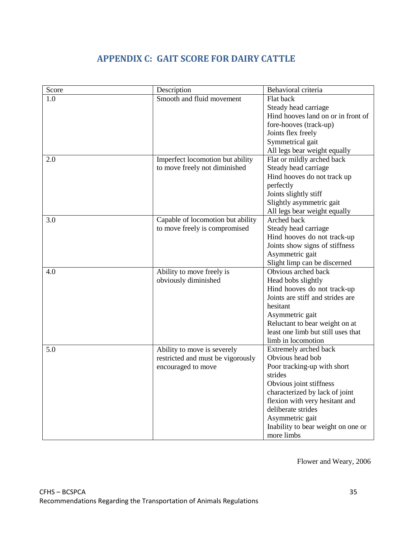# **APPENDIX C: GAIT SCORE FOR DAIRY CATTLE**

| Score | Description                       | Behavioral criteria                |
|-------|-----------------------------------|------------------------------------|
| 1.0   | Smooth and fluid movement         | Flat back                          |
|       |                                   | Steady head carriage               |
|       |                                   | Hind hooves land on or in front of |
|       |                                   | fore-hooves (track-up)             |
|       |                                   | Joints flex freely                 |
|       |                                   | Symmetrical gait                   |
|       |                                   | All legs bear weight equally       |
| 2.0   | Imperfect locomotion but ability  | Flat or mildly arched back         |
|       | to move freely not diminished     | Steady head carriage               |
|       |                                   | Hind hooves do not track up        |
|       |                                   | perfectly                          |
|       |                                   | Joints slightly stiff              |
|       |                                   | Slightly asymmetric gait           |
|       |                                   | All legs bear weight equally       |
| 3.0   | Capable of locomotion but ability | Arched back                        |
|       | to move freely is compromised     | Steady head carriage               |
|       |                                   | Hind hooves do not track-up        |
|       |                                   | Joints show signs of stiffness     |
|       |                                   | Asymmetric gait                    |
|       |                                   | Slight limp can be discerned       |
| 4.0   | Ability to move freely is         | Obvious arched back                |
|       | obviously diminished              | Head bobs slightly                 |
|       |                                   | Hind hooves do not track-up        |
|       |                                   | Joints are stiff and strides are   |
|       |                                   | hesitant                           |
|       |                                   | Asymmetric gait                    |
|       |                                   | Reluctant to bear weight on at     |
|       |                                   | least one limb but still uses that |
|       |                                   | limb in locomotion                 |
| 5.0   | Ability to move is severely       | Extremely arched back              |
|       | restricted and must be vigorously | Obvious head bob                   |
|       | encouraged to move                | Poor tracking-up with short        |
|       |                                   | strides                            |
|       |                                   | Obvious joint stiffness            |
|       |                                   | characterized by lack of joint     |
|       |                                   | flexion with very hesitant and     |
|       |                                   | deliberate strides                 |
|       |                                   | Asymmetric gait                    |
|       |                                   | Inability to bear weight on one or |
|       |                                   | more limbs                         |

Flower and Weary, 2006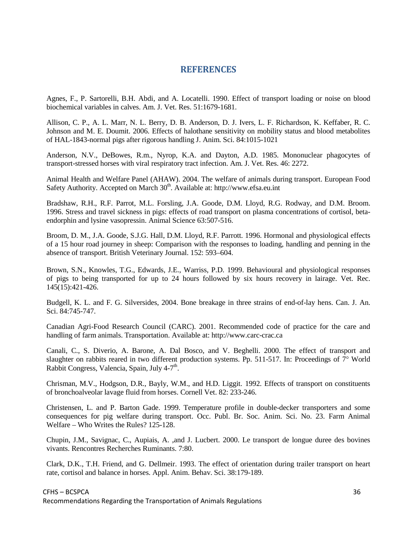## **REFERENCES**

Agnes, F., P. Sartorelli, B.H. Abdi, and A. Locatelli. 1990. Effect of transport loading or noise on blood biochemical variables in calves. Am. J. Vet. Res. 51:1679-1681.

Allison, C. P., A. L. Marr, N. L. Berry, D. B. Anderson, D. J. Ivers, L. F. Richardson, K. Keffaber, R. C. Johnson and M. E. Doumit. 2006. Effects of halothane sensitivity on mobility status and blood metabolites of HAL-1843-normal pigs after rigorous handling J. Anim. Sci. 84:1015-1021

Anderson, N.V., DeBowes, R.m., Nyrop, K.A. and Dayton, A.D. 1985. Mononuclear phagocytes of transport-stressed horses with viral respiratory tract infection. Am. J. Vet. Res. 46: 2272.

Animal Health and Welfare Panel (AHAW). 2004. The welfare of animals during transport. European Food Safety Authority. Accepted on March 30<sup>th</sup>. Available at: [http://www.efsa.eu.int](http://www.efsa.eu.int/)

Bradshaw, R.H., R.F. Parrot, M.L. Forsling, J.A. Goode, D.M. Lloyd, R.G. Rodway, and D.M. Broom. 1996. Stress and travel sickness in pigs: effects of road transport on plasma concentrations of cortisol, betaendorphin and lysine vasopressin. Animal Science 63:507-516.

Broom, D. M., J.A. Goode, S.J.G. Hall, D.M. Lloyd, R.F. Parrott. 1996. Hormonal and physiological effects of a 15 hour road journey in sheep: Comparison with the responses to loading, handling and penning in the absence of transport. British Veterinary Journal. 152: 593–604.

Brown, S.N., Knowles, T.G., Edwards, J.E., Warriss, P.D. 1999. Behavioural and physiological responses of pigs to being transported for up to 24 hours followed by six hours recovery in lairage. Vet. Rec. 145(15):421-426.

Budgell, K. L. and F. G. Silversides, 2004. Bone breakage in three strains of end-of-lay hens. Can. J. An. Sci. 84:745-747.

Canadian Agri-Food Research Council (CARC). 2001. Recommended code of practice for the care and handling of farm animals. Transportation. Available at: [http://www.carc-crac.ca](http://www.carc-crac.ca/)

Canali, C., S. Diverio, A. Barone, A. Dal Bosco, and V. Beghelli. 2000. The effect of transport and slaughter on rabbits reared in two different production systems. Pp. 511-517. In: Proceedings of  $7^{\circ}$  World Rabbit Congress, Valencia, Spain, July 4-7<sup>th</sup>.

Chrisman, M.V., Hodgson, D.R., Bayly, W.M., and H.D. Liggit. 1992. Effects of transport on constituents of bronchoalveolar lavage fluid from horses. Cornell Vet. 82: 233-246.

Christensen, L. and P. Barton Gade. 1999. Temperature profile in double-decker transporters and some consequences for pig welfare during transport. Occ. Publ. Br. Soc. Anim. Sci. No. 23. Farm Animal Welfare – Who Writes the Rules? 125-128.

Chupin, J.M., Savignac, C., Aupiais, A. ,and J. Lucbert. 2000. Le transport de longue duree des bovines vivants. Rencontres Recherches Ruminants. 7:80.

Clark, D.K., T.H. Friend, and G. Dellmeir. 1993. The effect of orientation during trailer transport on heart rate, cortisol and balance in horses. Appl. Anim. Behav. Sci. 38:179-189.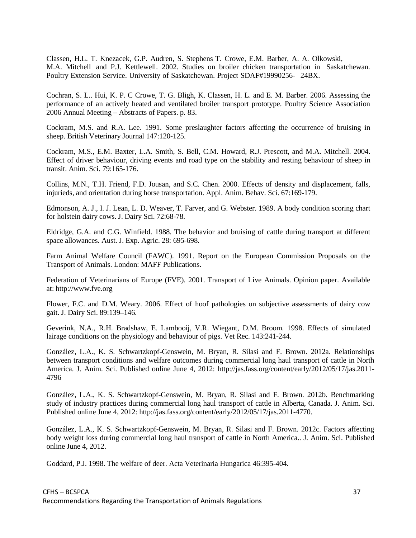Classen, H.L. T. Knezacek, G.P. Audren, S. Stephens T. Crowe, E.M. Barber, A. A. Olkowski, M.A. Mitchell and P.J. Kettlewell. 2002. Studies on broiler chicken transportation in Saskatchewan. Poultry Extension Service. University of Saskatchewan. Project SDAF#19990256- 24BX.

Cochran, S. L.. Hui, K. P. C Crowe, T. G. Bligh, K. Classen, H. L. and E. M. Barber. 2006. Assessing the performance of an actively heated and ventilated broiler transport prototype. Poultry Science Association 2006 Annual Meeting – Abstracts of Papers. p. 83.

Cockram, M.S. and R.A. Lee. 1991. Some preslaughter factors affecting the occurrence of bruising in sheep. British Veterinary Journal 147:120-125.

Cockram, M.S., E.M. Baxter, L.A. Smith, S. Bell, C.M. Howard, R.J. Prescott, and M.A. Mitchell. 2004. Effect of driver behaviour, driving events and road type on the stability and resting behaviour of sheep in transit. Anim. Sci. 79:165-176.

Collins, M.N., T.H. Friend, F.D. Jousan, and S.C. Chen. 2000. Effects of density and displacement, falls, injurieds, and orientation during horse transportation. Appl. Anim. Behav. Sci. 67:169-179.

Edmonson, A. J., I. J. Lean, L. D. Weaver, T. Farver, and G. Webster. 1989. A body condition scoring chart for holstein dairy cows. J. Dairy Sci. 72:68-78.

Eldridge, G.A. and C.G. Winfield. 1988. The behavior and bruising of cattle during transport at different space allowances. Aust. J. Exp. Agric. 28: 695-698.

Farm Animal Welfare Council (FAWC). 1991. Report on the European Commission Proposals on the Transport of Animals. London: MAFF Publications.

Federation of Veterinarians of Europe (FVE). 2001. Transport of Live Animals. Opinion paper. Available at: [http://www.fve.org](http://www.fve.org/)

Flower, F.C. and D.M. Weary. 2006. Effect of hoof pathologies on subjective assessments of dairy cow gait. J. Dairy Sci. 89:139–146.

Geverink, N.A., R.H. Bradshaw, E. Lambooij, V.R. Wiegant, D.M. Broom. 1998. Effects of simulated lairage conditions on the physiology and behaviour of pigs. Vet Rec. 143:241-244.

González, L.A., K. S. Schwartzkopf-Genswein, M. Bryan, R. Silasi and F. Brown. 2012a. Relationships between transport conditions and welfare outcomes during commercial long haul transport of cattle in North America. J. Anim. Sci. Published online June 4, 2012: http://jas.fass.org/content/early/2012/05/17/jas.2011- 4796

González, L.A., K. S. Schwartzkopf-Genswein, M. Bryan, R. Silasi and F. Brown. 2012b. Benchmarking study of industry practices during commercial long haul transport of cattle in Alberta, Canada. J. Anim. Sci. Published online June 4, 2012: http://jas.fass.org/content/early/2012/05/17/jas.2011-4770.

González, L.A., K. S. Schwartzkopf-Genswein, M. Bryan, R. Silasi and F. Brown. 2012c. Factors affecting body weight loss during commercial long haul transport of cattle in North America.. J. Anim. Sci. Published online June 4, 2012.

Goddard, P.J. 1998. The welfare of deer. Acta Veterinaria Hungarica 46:395-404.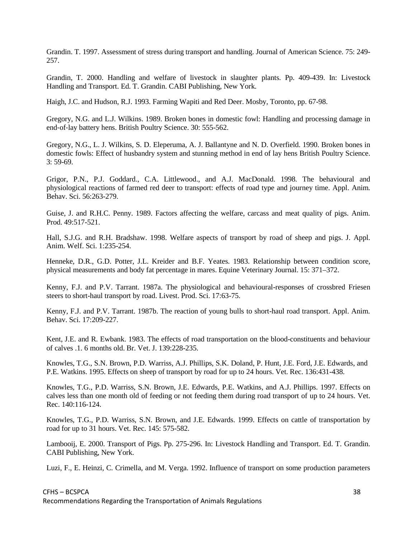Grandin. T. 1997. Assessment of stress during transport and handling. Journal of American Science. 75: 249- 257.

Grandin, T. 2000. Handling and welfare of livestock in slaughter plants. Pp. 409-439. In: Livestock Handling and Transport. Ed. T. Grandin. CABI Publishing, New York.

Haigh, J.C. and Hudson, R.J. 1993. Farming Wapiti and Red Deer. Mosby, Toronto, pp. 67-98.

Gregory, N.G. and L.J. Wilkins. 1989. Broken bones in domestic fowl: Handling and processing damage in end‐of‐lay battery hens. British Poultry Science. 30: 555-562.

Gregory, N.G., L. J. Wilkins, S. D. Eleperuma, A. J. Ballantyne and N. D. Overfield. 1990. Broken bones in domestic fowls: Effect of husbandry system and stunning method in end of lay hens British Poultry Science. 3: 59-69.

Grigor, P.N., P.J. Goddard., C.A. Littlewood., and A.J. MacDonald. 1998. The behavioural and physiological reactions of farmed red deer to transport: effects of road type and journey time. Appl. Anim. Behav. Sci. 56:263-279.

Guise, J. and R.H.C. Penny. 1989. Factors affecting the welfare, carcass and meat quality of pigs. Anim. Prod. 49:517-521.

Hall, S.J.G. and R.H. Bradshaw. 1998. Welfare aspects of transport by road of sheep and pigs. J. Appl. Anim. Welf. Sci. 1:235-254.

Henneke, D.R., G.D. Potter, J.L. Kreider and B.F. Yeates. 1983. Relationship between condition score, physical measurements and body fat percentage in mares. Equine Veterinary Journal. 15: 371–372.

Kenny, F.J. and P.V. Tarrant. 1987a. The physiological and behavioural-responses of crossbred Friesen steers to short-haul transport by road. Livest. Prod. Sci. 17:63-75.

Kenny, F.J. and P.V. Tarrant. 1987b. The reaction of young bulls to short-haul road transport. Appl. Anim. Behav. Sci. 17:209-227.

Kent, J.E. and R. Ewbank. 1983. The effects of road transportation on the blood-constituents and behaviour of calves .1. 6 months old. Br. Vet. J. 139:228-235.

Knowles, T.G., S.N. Brown, P.D. Warriss, A.J. Phillips, S.K. Doland, P. Hunt, J.E. Ford, J.E. Edwards, and P.E. Watkins. 1995. Effects on sheep of transport by road for up to 24 hours. Vet. Rec. 136:431-438.

Knowles, T.G., P.D. Warriss, S.N. Brown, J.E. Edwards, P.E. Watkins, and A.J. Phillips. 1997. Effects on calves less than one month old of feeding or not feeding them during road transport of up to 24 hours. Vet. Rec. 140:116-124.

Knowles, T.G., P.D. Warriss, S.N. Brown, and J.E. Edwards. 1999. Effects on cattle of transportation by road for up to 31 hours. Vet. Rec. 145: 575-582.

Lambooij, E. 2000. Transport of Pigs. Pp. 275-296. In: Livestock Handling and Transport. Ed. T. Grandin. CABI Publishing, New York.

Luzi, F., E. Heinzi, C. Crimella, and M. Verga. 1992. Influence of transport on some production parameters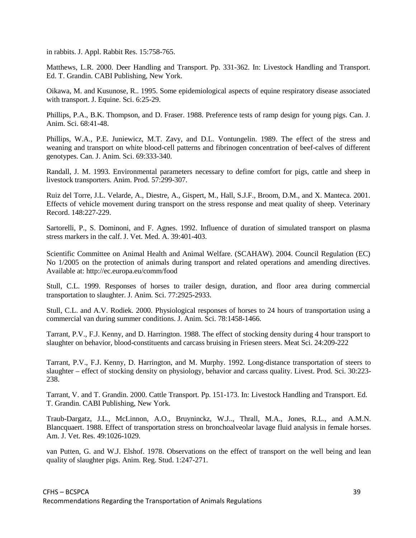in rabbits. J. Appl. Rabbit Res. 15:758-765.

Matthews, L.R. 2000. Deer Handling and Transport. Pp. 331-362. In: Livestock Handling and Transport. Ed. T. Grandin. CABI Publishing, New York.

Oikawa, M. and Kusunose, R.. 1995. Some epidemiological aspects of equine respiratory disease associated with transport. J. Equine. Sci. 6:25-29.

Phillips, P.A., B.K. Thompson, and D. Fraser. 1988. Preference tests of ramp design for young pigs. Can. J. Anim. Sci. 68:41-48.

Phillips, W.A., P.E. Juniewicz, M.T. Zavy, and D.L. Vontungelin. 1989. The effect of the stress and weaning and transport on white blood-cell patterns and fibrinogen concentration of beef-calves of different genotypes. Can. J. Anim. Sci. 69:333-340.

Randall, J. M. 1993. Environmental parameters necessary to define comfort for pigs, cattle and sheep in livestock transporters. Anim. Prod. 57:299-307.

Ruiz del Torre, J.L. Velarde, A., Diestre, A., Gispert, M., Hall, S.J.F., Broom, D.M., and X. Manteca. 2001. Effects of vehicle movement during transport on the stress response and meat quality of sheep. Veterinary Record. 148:227-229.

Sartorelli, P., S. Dominoni, and F. Agnes. 1992. Influence of duration of simulated transport on plasma stress markers in the calf. J. Vet. Med. A. 39:401-403.

Scientific Committee on Animal Health and Animal Welfare. (SCAHAW). 2004. Council Regulation (EC) No 1/2005 on the protection of animals during transport and related operations and amending directives. Available at: <http://ec.europa.eu/comm/food>

Stull, C.L. 1999. Responses of horses to trailer design, duration, and floor area during commercial transportation to slaughter. J. Anim. Sci. 77:2925-2933.

Stull, C.L. and A.V. Rodiek. 2000. Physiological responses of horses to 24 hours of transportation using a commercial van during summer conditions. J. Anim. Sci. 78:1458-1466.

Tarrant, P.V., F.J. Kenny, and D. Harrington. 1988. The effect of stocking density during 4 hour transport to slaughter on behavior, blood-constituents and carcass bruising in Friesen steers. Meat Sci. 24:209-222

Tarrant, P.V., F.J. Kenny, D. Harrington, and M. Murphy. 1992. Long-distance transportation of steers to slaughter – effect of stocking density on physiology, behavior and carcass quality. Livest. Prod. Sci. 30:223- 238.

Tarrant, V. and T. Grandin. 2000. Cattle Transport. Pp. 151-173. In: Livestock Handling and Transport. Ed. T. Grandin. CABI Publishing, New York.

Traub-Dargatz, J.L., McLinnon, A.O., Bruyninckz, W.J.., Thrall, M.A., Jones, R.L., and A.M.N. Blancquaert. 1988. Effect of transportation stress on bronchoalveolar lavage fluid analysis in female horses. Am. J. Vet. Res. 49:1026-1029.

van Putten, G. and W.J. Elshof. 1978. Observations on the effect of transport on the well being and lean quality of slaughter pigs. Anim. Reg. Stud. 1:247-271.